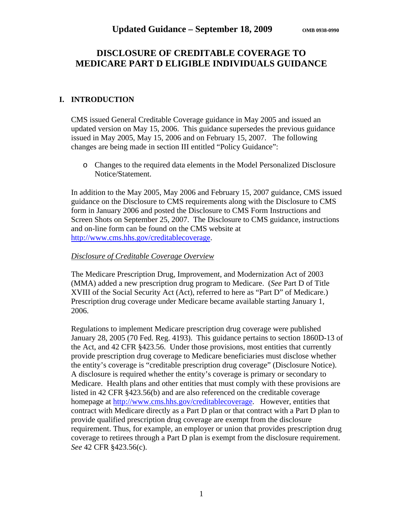# **DISCLOSURE OF CREDITABLE COVERAGE TO MEDICARE PART D ELIGIBLE INDIVIDUALS GUIDANCE**

### **I. INTRODUCTION**

CMS issued General Creditable Coverage guidance in May 2005 and issued an updated version on May 15, 2006. This guidance supersedes the previous guidance issued in May 2005, May 15, 2006 and on February 15, 2007. The following changes are being made in section III entitled "Policy Guidance":

o Changes to the required data elements in the Model Personalized Disclosure Notice/Statement.

In addition to the May 2005, May 2006 and February 15, 2007 guidance, CMS issued guidance on the Disclosure to CMS requirements along with the Disclosure to CMS form in January 2006 and posted the Disclosure to CMS Form Instructions and Screen Shots on September 25, 2007. The Disclosure to CMS guidance, instructions and on-line form can be found on the CMS website at [http://www.cms.hhs.gov/creditablecoverage.](http://www.cms.hhs.gov/creditablecoverage)

#### *Disclosure of Creditable Coverage Overview*

The Medicare Prescription Drug, Improvement, and Modernization Act of 2003 (MMA) added a new prescription drug program to Medicare. (*See* Part D of Title XVIII of the Social Security Act (Act), referred to here as "Part D" of Medicare.) Prescription drug coverage under Medicare became available starting January 1, 2006.

Regulations to implement Medicare prescription drug coverage were published January 28, 2005 (70 Fed. Reg. 4193). This guidance pertains to section 1860D-13 of the Act, and 42 CFR §423.56. Under those provisions, most entities that currently provide prescription drug coverage to Medicare beneficiaries must disclose whether the entity's coverage is "creditable prescription drug coverage" (Disclosure Notice). A disclosure is required whether the entity's coverage is primary or secondary to Medicare. Health plans and other entities that must comply with these provisions are listed in 42 CFR §423.56(b) and are also referenced on the creditable coverage homepage at [http://www.cms.hhs.gov/creditablecoverage.](http://www.cms.hhs.gov/creditablecoverage) However, entities that contract with Medicare directly as a Part D plan or that contract with a Part D plan to provide qualified prescription drug coverage are exempt from the disclosure requirement. Thus, for example, an employer or union that provides prescription drug coverage to retirees through a Part D plan is exempt from the disclosure requirement. *See* 42 CFR §423.56(c).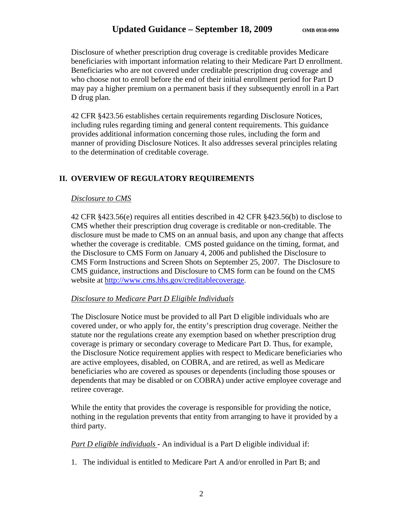Disclosure of whether prescription drug coverage is creditable provides Medicare beneficiaries with important information relating to their Medicare Part D enrollment. Beneficiaries who are not covered under creditable prescription drug coverage and who choose not to enroll before the end of their initial enrollment period for Part D may pay a higher premium on a permanent basis if they subsequently enroll in a Part D drug plan.

42 CFR §423.56 establishes certain requirements regarding Disclosure Notices, including rules regarding timing and general content requirements. This guidance provides additional information concerning those rules, including the form and manner of providing Disclosure Notices. It also addresses several principles relating to the determination of creditable coverage.

### **II. OVERVIEW OF REGULATORY REQUIREMENTS**

### *Disclosure to CMS*

42 CFR §423.56(e) requires all entities described in 42 CFR §423.56(b) to disclose to CMS whether their prescription drug coverage is creditable or non-creditable. The disclosure must be made to CMS on an annual basis, and upon any change that affects whether the coverage is creditable. CMS posted guidance on the timing, format, and the Disclosure to CMS Form on January 4, 2006 and published the Disclosure to CMS Form Instructions and Screen Shots on September 25, 2007. The Disclosure to CMS guidance, instructions and Disclosure to CMS form can be found on the CMS website at [http://www.cms.hhs.gov/creditablecoverage.](http://www.cms.hhs.gov/creditablecoverage)

### *Disclosure to Medicare Part D Eligible Individuals*

The Disclosure Notice must be provided to all Part D eligible individuals who are covered under, or who apply for, the entity's prescription drug coverage. Neither the statute nor the regulations create any exemption based on whether prescription drug coverage is primary or secondary coverage to Medicare Part D. Thus, for example, the Disclosure Notice requirement applies with respect to Medicare beneficiaries who are active employees, disabled, on COBRA, and are retired, as well as Medicare beneficiaries who are covered as spouses or dependents (including those spouses or dependents that may be disabled or on COBRA) under active employee coverage and retiree coverage.

While the entity that provides the coverage is responsible for providing the notice, nothing in the regulation prevents that entity from arranging to have it provided by a third party.

*Part D eligible individuals -* An individual is a Part D eligible individual if:

1. The individual is entitled to Medicare Part A and/or enrolled in Part B; and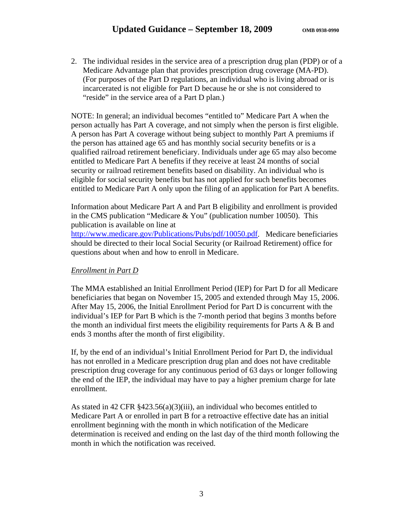2. The individual resides in the service area of a prescription drug plan (PDP) or of a Medicare Advantage plan that provides prescription drug coverage (MA-PD). (For purposes of the Part D regulations, an individual who is living abroad or is incarcerated is not eligible for Part D because he or she is not considered to "reside" in the service area of a Part D plan.)

NOTE: In general; an individual becomes "entitled to" Medicare Part A when the person actually has Part A coverage, and not simply when the person is first eligible. A person has Part A coverage without being subject to monthly Part A premiums if the person has attained age 65 and has monthly social security benefits or is a qualified railroad retirement beneficiary. Individuals under age 65 may also become entitled to Medicare Part A benefits if they receive at least 24 months of social security or railroad retirement benefits based on disability. An individual who is eligible for social security benefits but has not applied for such benefits becomes entitled to Medicare Part A only upon the filing of an application for Part A benefits.

Information about Medicare Part A and Part B eligibility and enrollment is provided in the CMS publication "Medicare & You" (publication number 10050). This publication is available on line at

[http://www.medicare.gov/Publications/Pubs/pdf/10050.pdf.](http://www.medicare.gov/Publications/Pubs/pdf/10050.pdf) Medicare beneficiaries should be directed to their local Social Security (or Railroad Retirement) office for questions about when and how to enroll in Medicare.

### *Enrollment in Part D*

The MMA established an Initial Enrollment Period (IEP) for Part D for all Medicare beneficiaries that began on November 15, 2005 and extended through May 15, 2006. After May 15, 2006, the Initial Enrollment Period for Part D is concurrent with the individual's IEP for Part B which is the 7-month period that begins 3 months before the month an individual first meets the eligibility requirements for Parts  $A \& B$  and ends 3 months after the month of first eligibility.

If, by the end of an individual's Initial Enrollment Period for Part D, the individual has not enrolled in a Medicare prescription drug plan and does not have creditable prescription drug coverage for any continuous period of 63 days or longer following the end of the IEP, the individual may have to pay a higher premium charge for late enrollment.

As stated in 42 CFR §423.56(a)(3)(iii), an individual who becomes entitled to Medicare Part A or enrolled in part B for a retroactive effective date has an initial enrollment beginning with the month in which notification of the Medicare determination is received and ending on the last day of the third month following the month in which the notification was received.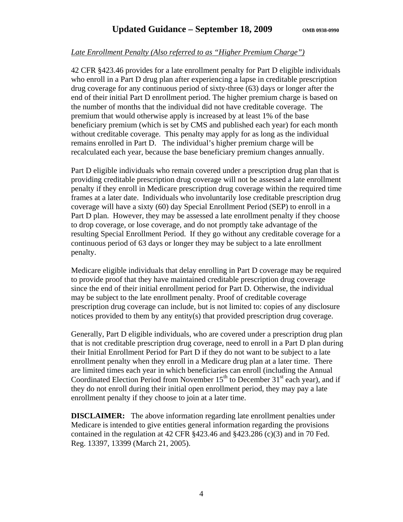### *Late Enrollment Penalty (Also referred to as "Higher Premium Charge")*

42 CFR §423.46 provides for a late enrollment penalty for Part D eligible individuals who enroll in a Part D drug plan after experiencing a lapse in creditable prescription drug coverage for any continuous period of sixty-three (63) days or longer after the end of their initial Part D enrollment period. The higher premium charge is based on the number of months that the individual did not have creditable coverage. The premium that would otherwise apply is increased by at least 1% of the base beneficiary premium (which is set by CMS and published each year) for each month without creditable coverage. This penalty may apply for as long as the individual remains enrolled in Part D. The individual's higher premium charge will be recalculated each year, because the base beneficiary premium changes annually.

Part D eligible individuals who remain covered under a prescription drug plan that is providing creditable prescription drug coverage will not be assessed a late enrollment penalty if they enroll in Medicare prescription drug coverage within the required time frames at a later date. Individuals who involuntarily lose creditable prescription drug coverage will have a sixty (60) day Special Enrollment Period (SEP) to enroll in a Part D plan. However, they may be assessed a late enrollment penalty if they choose to drop coverage, or lose coverage, and do not promptly take advantage of the resulting Special Enrollment Period. If they go without any creditable coverage for a continuous period of 63 days or longer they may be subject to a late enrollment penalty.

Medicare eligible individuals that delay enrolling in Part D coverage may be required to provide proof that they have maintained creditable prescription drug coverage since the end of their initial enrollment period for Part D. Otherwise, the individual may be subject to the late enrollment penalty. Proof of creditable coverage prescription drug coverage can include, but is not limited to: copies of any disclosure notices provided to them by any entity(s) that provided prescription drug coverage.

Generally, Part D eligible individuals, who are covered under a prescription drug plan that is not creditable prescription drug coverage, need to enroll in a Part D plan during their Initial Enrollment Period for Part D if they do not want to be subject to a late enrollment penalty when they enroll in a Medicare drug plan at a later time. There are limited times each year in which beneficiaries can enroll (including the Annual Coordinated Election Period from November  $15<sup>th</sup>$  to December  $31<sup>st</sup>$  each year), and if they do not enroll during their initial open enrollment period, they may pay a late enrollment penalty if they choose to join at a later time.

**DISCLAIMER:** The above information regarding late enrollment penalties under Medicare is intended to give entities general information regarding the provisions contained in the regulation at 42 CFR  $\S 423.46$  and  $\S 423.286$  (c)(3) and in 70 Fed. Reg. 13397, 13399 (March 21, 2005).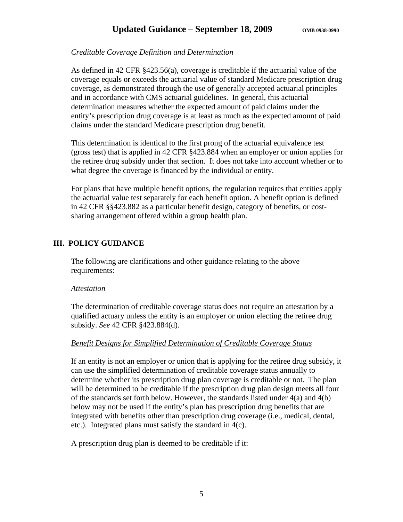### *Creditable Coverage Definition and Determination*

As defined in 42 CFR §423.56(a), coverage is creditable if the actuarial value of the coverage equals or exceeds the actuarial value of standard Medicare prescription drug coverage, as demonstrated through the use of generally accepted actuarial principles and in accordance with CMS actuarial guidelines. In general, this actuarial determination measures whether the expected amount of paid claims under the entity's prescription drug coverage is at least as much as the expected amount of paid claims under the standard Medicare prescription drug benefit.

This determination is identical to the first prong of the actuarial equivalence test (gross test) that is applied in 42 CFR §423.884 when an employer or union applies for the retiree drug subsidy under that section. It does not take into account whether or to what degree the coverage is financed by the individual or entity.

For plans that have multiple benefit options, the regulation requires that entities apply the actuarial value test separately for each benefit option. A benefit option is defined in 42 CFR §§423.882 as a particular benefit design, category of benefits, or costsharing arrangement offered within a group health plan.

### **III. POLICY GUIDANCE**

The following are clarifications and other guidance relating to the above requirements:

#### *Attestation*

The determination of creditable coverage status does not require an attestation by a qualified actuary unless the entity is an employer or union electing the retiree drug subsidy. *See* 42 CFR §423.884(d).

### *Benefit Designs for Simplified Determination of Creditable Coverage Status*

If an entity is not an employer or union that is applying for the retiree drug subsidy, it can use the simplified determination of creditable coverage status annually to determine whether its prescription drug plan coverage is creditable or not. The plan will be determined to be creditable if the prescription drug plan design meets all four of the standards set forth below. However, the standards listed under  $4(a)$  and  $4(b)$ below may not be used if the entity's plan has prescription drug benefits that are integrated with benefits other than prescription drug coverage (i.e., medical, dental, etc.). Integrated plans must satisfy the standard in 4(c).

A prescription drug plan is deemed to be creditable if it: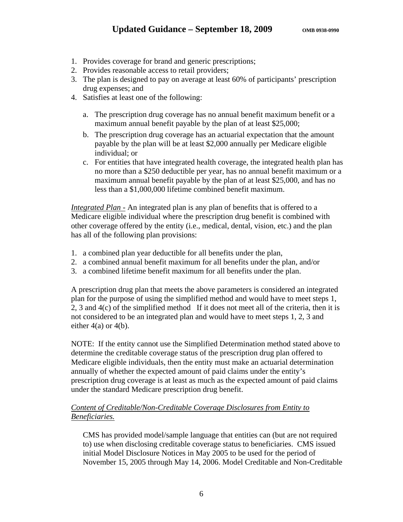- 1. Provides coverage for brand and generic prescriptions;
- 2. Provides reasonable access to retail providers;
- 3. The plan is designed to pay on average at least 60% of participants' prescription drug expenses; and
- 4. Satisfies at least one of the following:
	- a. The prescription drug coverage has no annual benefit maximum benefit or a maximum annual benefit payable by the plan of at least \$25,000;
	- b. The prescription drug coverage has an actuarial expectation that the amount payable by the plan will be at least \$2,000 annually per Medicare eligible individual; or
	- c. For entities that have integrated health coverage, the integrated health plan has no more than a \$250 deductible per year, has no annual benefit maximum or a maximum annual benefit payable by the plan of at least \$25,000, and has no less than a \$1,000,000 lifetime combined benefit maximum.

*Integrated Plan -* An integrated plan is any plan of benefits that is offered to a Medicare eligible individual where the prescription drug benefit is combined with other coverage offered by the entity (i.e., medical, dental, vision, etc.) and the plan has all of the following plan provisions:

- 1. a combined plan year deductible for all benefits under the plan,
- 2. a combined annual benefit maximum for all benefits under the plan, and/or
- 3. a combined lifetime benefit maximum for all benefits under the plan.

A prescription drug plan that meets the above parameters is considered an integrated plan for the purpose of using the simplified method and would have to meet steps 1, 2, 3 and 4(c) of the simplified method If it does not meet all of the criteria, then it is not considered to be an integrated plan and would have to meet steps 1, 2, 3 and either  $4(a)$  or  $4(b)$ .

NOTE: If the entity cannot use the Simplified Determination method stated above to determine the creditable coverage status of the prescription drug plan offered to Medicare eligible individuals, then the entity must make an actuarial determination annually of whether the expected amount of paid claims under the entity's prescription drug coverage is at least as much as the expected amount of paid claims under the standard Medicare prescription drug benefit.

### *Content of Creditable/Non-Creditable Coverage Disclosures from Entity to Beneficiaries.*

CMS has provided model/sample language that entities can (but are not required to) use when disclosing creditable coverage status to beneficiaries. CMS issued initial Model Disclosure Notices in May 2005 to be used for the period of November 15, 2005 through May 14, 2006. Model Creditable and Non-Creditable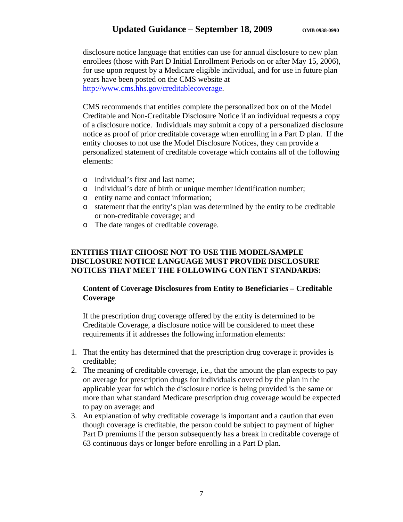disclosure notice language that entities can use for annual disclosure to new plan enrollees (those with Part D Initial Enrollment Periods on or after May 15, 2006), for use upon request by a Medicare eligible individual, and for use in future plan years have been posted on the CMS website at [http://www.cms.hhs.gov/creditablecoverage.](http://www.cms.hhs.gov/creditablecoverage)

CMS recommends that entities complete the personalized box on of the Model Creditable and Non-Creditable Disclosure Notice if an individual requests a copy of a disclosure notice. Individuals may submit a copy of a personalized disclosure notice as proof of prior creditable coverage when enrolling in a Part D plan. If the entity chooses to not use the Model Disclosure Notices, they can provide a personalized statement of creditable coverage which contains all of the following elements:

- o individual's first and last name;
- o individual's date of birth or unique member identification number;
- o entity name and contact information;
- o statement that the entity's plan was determined by the entity to be creditable or non-creditable coverage; and
- o The date ranges of creditable coverage.

### **ENTITIES THAT CHOOSE NOT TO USE THE MODEL/SAMPLE DISCLOSURE NOTICE LANGUAGE MUST PROVIDE DISCLOSURE NOTICES THAT MEET THE FOLLOWING CONTENT STANDARDS:**

### **Content of Coverage Disclosures from Entity to Beneficiaries – Creditable Coverage**

If the prescription drug coverage offered by the entity is determined to be Creditable Coverage, a disclosure notice will be considered to meet these requirements if it addresses the following information elements:

- 1. That the entity has determined that the prescription drug coverage it provides is creditable;
- 2. The meaning of creditable coverage, i.e., that the amount the plan expects to pay on average for prescription drugs for individuals covered by the plan in the applicable year for which the disclosure notice is being provided is the same or more than what standard Medicare prescription drug coverage would be expected to pay on average; and
- 3. An explanation of why creditable coverage is important and a caution that even though coverage is creditable, the person could be subject to payment of higher Part D premiums if the person subsequently has a break in creditable coverage of 63 continuous days or longer before enrolling in a Part D plan.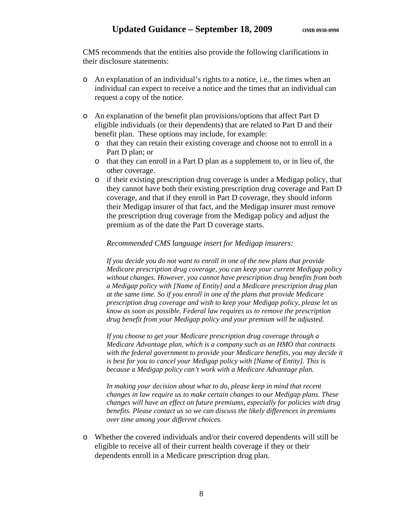CMS recommends that the entities also provide the following clarifications in their disclosure statements:

- o An explanation of an individual's rights to a notice, i.e., the times when an individual can expect to receive a notice and the times that an individual can request a copy of the notice.
- o An explanation of the benefit plan provisions/options that affect Part D eligible individuals (or their dependents) that are related to Part D and their benefit plan. These options may include, for example:
	- o that they can retain their existing coverage and choose not to enroll in a Part D plan; or
	- o that they can enroll in a Part D plan as a supplement to, or in lieu of, the other coverage.
	- o if their existing prescription drug coverage is under a Medigap policy, that they cannot have both their existing prescription drug coverage and Part D coverage, and that if they enroll in Part D coverage, they should inform their Medigap insurer of that fact, and the Medigap insurer must remove the prescription drug coverage from the Medigap policy and adjust the premium as of the date the Part D coverage starts.

#### *Recommended CMS language insert for Medigap insurers:*

*If you decide you do not want to enroll in one of the new plans that provide Medicare prescription drug coverage, you can keep your current Medigap policy without changes. However, you cannot have prescription drug benefits from both a Medigap policy with [Name of Entity] and a Medicare prescription drug plan at the same time. So if you enroll in one of the plans that provide Medicare prescription drug coverage and wish to keep your Medigap policy, please let us know as soon as possible. Federal law requires us to remove the prescription drug benefit from your Medigap policy and your premium will be adjusted.* 

*If you choose to get your Medicare prescription drug coverage through a Medicare Advantage plan, which is a company such as an HMO that contracts with the federal government to provide your Medicare benefits, you may decide it is best for you to cancel your Medigap policy with [Name of Entity]. This is because a Medigap policy can't work with a Medicare Advantage plan.* 

*In making your decision about what to do, please keep in mind that recent changes in law require us to make certain changes to our Medigap plans. These changes will have an effect on future premiums, especially for policies with drug benefits. Please contact us so we can discuss the likely differences in premiums over time among your different choices.* 

o Whether the covered individuals and/or their covered dependents will still be eligible to receive all of their current health coverage if they or their dependents enroll in a Medicare prescription drug plan.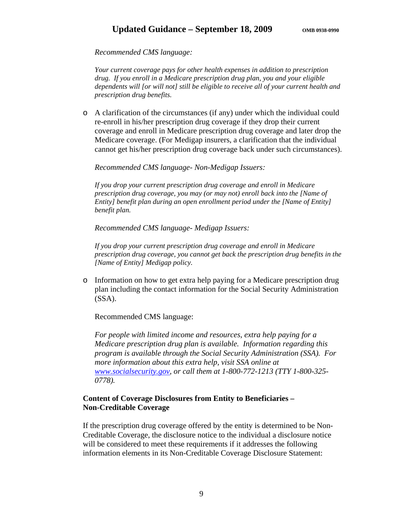## Updated Guidance – September 18, 2009 OMB 0938-0990

#### *Recommended CMS language:*

*Your current coverage pays for other health expenses in addition to prescription drug. If you enroll in a Medicare prescription drug plan, you and your eligible dependents will [or will not] still be eligible to receive all of your current health and prescription drug benefits.*

o A clarification of the circumstances (if any) under which the individual could re-enroll in his/her prescription drug coverage if they drop their current coverage and enroll in Medicare prescription drug coverage and later drop the Medicare coverage. (For Medigap insurers, a clarification that the individual cannot get his/her prescription drug coverage back under such circumstances).

#### *Recommended CMS language- Non-Medigap Issuers:*

*If you drop your current prescription drug coverage and enroll in Medicare prescription drug coverage, you may (or may not) enroll back into the [Name of Entity] benefit plan during an open enrollment period under the [Name of Entity] benefit plan.* 

*Recommended CMS language- Medigap Issuers:* 

*If you drop your current prescription drug coverage and enroll in Medicare prescription drug coverage, you cannot get back the prescription drug benefits in the [Name of Entity] Medigap policy.* 

o Information on how to get extra help paying for a Medicare prescription drug plan including the contact information for the Social Security Administration (SSA).

Recommended CMS language:

*For people with limited income and resources, extra help paying for a Medicare prescription drug plan is available. Information regarding this program is available through the Social Security Administration (SSA). For more information about this extra help, visit SSA online at [www.socialsecurity.gov](http://www.socialsecurity.gov/), or call them at 1-800-772-1213 (TTY 1-800-325- 0778).* 

### **Content of Coverage Disclosures from Entity to Beneficiaries – Non-Creditable Coverage**

If the prescription drug coverage offered by the entity is determined to be Non-Creditable Coverage, the disclosure notice to the individual a disclosure notice will be considered to meet these requirements if it addresses the following information elements in its Non-Creditable Coverage Disclosure Statement: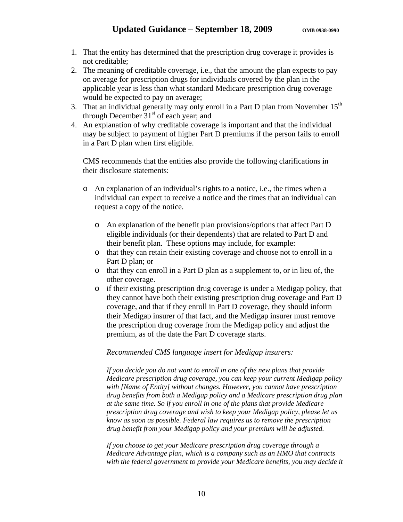- 1. That the entity has determined that the prescription drug coverage it provides is not creditable;
- 2. The meaning of creditable coverage, i.e., that the amount the plan expects to pay on average for prescription drugs for individuals covered by the plan in the applicable year is less than what standard Medicare prescription drug coverage would be expected to pay on average;
- 3. That an individual generally may only enroll in a Part D plan from November  $15<sup>th</sup>$ through December  $31<sup>st</sup>$  of each year; and
- 4. An explanation of why creditable coverage is important and that the individual may be subject to payment of higher Part D premiums if the person fails to enroll in a Part D plan when first eligible.

CMS recommends that the entities also provide the following clarifications in their disclosure statements:

- o An explanation of an individual's rights to a notice, i.e., the times when a individual can expect to receive a notice and the times that an individual can request a copy of the notice.
	- o An explanation of the benefit plan provisions/options that affect Part D eligible individuals (or their dependents) that are related to Part D and their benefit plan. These options may include, for example:
	- o that they can retain their existing coverage and choose not to enroll in a Part D plan; or
	- o that they can enroll in a Part D plan as a supplement to, or in lieu of, the other coverage.
	- o if their existing prescription drug coverage is under a Medigap policy, that they cannot have both their existing prescription drug coverage and Part D coverage, and that if they enroll in Part D coverage, they should inform their Medigap insurer of that fact, and the Medigap insurer must remove the prescription drug coverage from the Medigap policy and adjust the premium, as of the date the Part D coverage starts.

*Recommended CMS language insert for Medigap insurers:* 

*If you decide you do not want to enroll in one of the new plans that provide Medicare prescription drug coverage, you can keep your current Medigap policy with [Name of Entity] without changes. However, you cannot have prescription drug benefits from both a Medigap policy and a Medicare prescription drug plan at the same time. So if you enroll in one of the plans that provide Medicare prescription drug coverage and wish to keep your Medigap policy, please let us know as soon as possible. Federal law requires us to remove the prescription drug benefit from your Medigap policy and your premium will be adjusted.* 

*If you choose to get your Medicare prescription drug coverage through a Medicare Advantage plan, which is a company such as an HMO that contracts with the federal government to provide your Medicare benefits, you may decide it*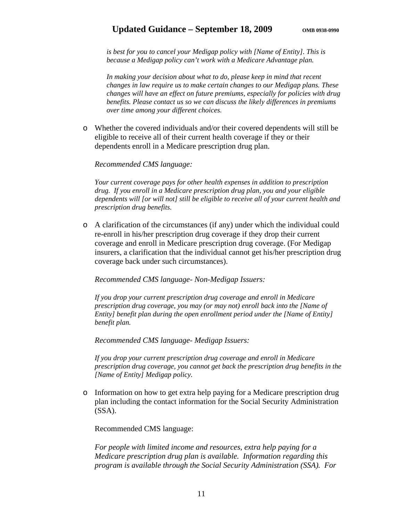### Updated Guidance – September 18, 2009 OMB 0938-0990

*is best for you to cancel your Medigap policy with [Name of Entity]. This is because a Medigap policy can't work with a Medicare Advantage plan.* 

*In making your decision about what to do, please keep in mind that recent changes in law require us to make certain changes to our Medigap plans. These changes will have an effect on future premiums, especially for policies with drug benefits. Please contact us so we can discuss the likely differences in premiums over time among your different choices.* 

o Whether the covered individuals and/or their covered dependents will still be eligible to receive all of their current health coverage if they or their dependents enroll in a Medicare prescription drug plan.

#### *Recommended CMS language:*

*Your current coverage pays for other health expenses in addition to prescription drug. If you enroll in a Medicare prescription drug plan, you and your eligible dependents will [or will not] still be eligible to receive all of your current health and prescription drug benefits.*

o A clarification of the circumstances (if any) under which the individual could re-enroll in his/her prescription drug coverage if they drop their current coverage and enroll in Medicare prescription drug coverage. (For Medigap insurers, a clarification that the individual cannot get his/her prescription drug coverage back under such circumstances).

#### *Recommended CMS language- Non-Medigap Issuers:*

*If you drop your current prescription drug coverage and enroll in Medicare prescription drug coverage, you may (or may not) enroll back into the [Name of Entity] benefit plan during the open enrollment period under the [Name of Entity] benefit plan.* 

*Recommended CMS language- Medigap Issuers:* 

*If you drop your current prescription drug coverage and enroll in Medicare prescription drug coverage, you cannot get back the prescription drug benefits in the [Name of Entity] Medigap policy.* 

o Information on how to get extra help paying for a Medicare prescription drug plan including the contact information for the Social Security Administration (SSA).

Recommended CMS language:

*For people with limited income and resources, extra help paying for a Medicare prescription drug plan is available. Information regarding this program is available through the Social Security Administration (SSA). For*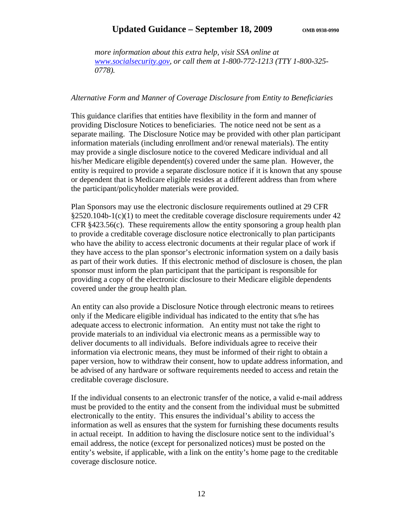## Updated Guidance – September 18, 2009 OMB 0938-0990

*more information about this extra help, visit SSA online at [www.socialsecurity.gov](http://www.socialsecurity.gov/), or call them at 1-800-772-1213 (TTY 1-800-325- 0778).* 

#### *Alternative Form and Manner of Coverage Disclosure from Entity to Beneficiaries*

This guidance clarifies that entities have flexibility in the form and manner of providing Disclosure Notices to beneficiaries. The notice need not be sent as a separate mailing. The Disclosure Notice may be provided with other plan participant information materials (including enrollment and/or renewal materials). The entity may provide a single disclosure notice to the covered Medicare individual and all his/her Medicare eligible dependent(s) covered under the same plan. However, the entity is required to provide a separate disclosure notice if it is known that any spouse or dependent that is Medicare eligible resides at a different address than from where the participant/policyholder materials were provided.

Plan Sponsors may use the electronic disclosure requirements outlined at 29 CFR  $§2520.104b-1(c)(1)$  to meet the creditable coverage disclosure requirements under 42 CFR §423.56(c). These requirements allow the entity sponsoring a group health plan to provide a creditable coverage disclosure notice electronically to plan participants who have the ability to access electronic documents at their regular place of work if they have access to the plan sponsor's electronic information system on a daily basis as part of their work duties. If this electronic method of disclosure is chosen, the plan sponsor must inform the plan participant that the participant is responsible for providing a copy of the electronic disclosure to their Medicare eligible dependents covered under the group health plan.

An entity can also provide a Disclosure Notice through electronic means to retirees only if the Medicare eligible individual has indicated to the entity that s/he has adequate access to electronic information. An entity must not take the right to provide materials to an individual via electronic means as a permissible way to deliver documents to all individuals. Before individuals agree to receive their information via electronic means, they must be informed of their right to obtain a paper version, how to withdraw their consent, how to update address information, and be advised of any hardware or software requirements needed to access and retain the creditable coverage disclosure.

If the individual consents to an electronic transfer of the notice, a valid e-mail address must be provided to the entity and the consent from the individual must be submitted electronically to the entity. This ensures the individual's ability to access the information as well as ensures that the system for furnishing these documents results in actual receipt. In addition to having the disclosure notice sent to the individual's email address, the notice (except for personalized notices) must be posted on the entity's website, if applicable, with a link on the entity's home page to the creditable coverage disclosure notice.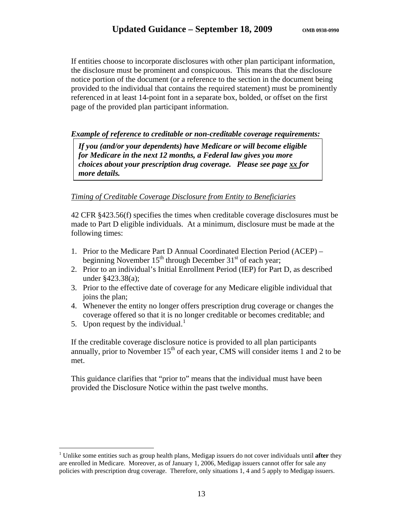If entities choose to incorporate disclosures with other plan participant information, the disclosure must be prominent and conspicuous. This means that the disclosure notice portion of the document (or a reference to the section in the document being provided to the individual that contains the required statement) must be prominently referenced in at least 14-point font in a separate box, bolded, or offset on the first page of the provided plan participant information.

#### *Example of reference to creditable or non-creditable coverage requirements:*

*If you (and/or your dependents) have Medicare or will become eligible for Medicare in the next 12 months, a Federal law gives you more choices about your prescription drug coverage. Please see page xx for more details.* 

#### *Timing of Creditable Coverage Disclosure from Entity to Beneficiaries*

42 CFR §423.56(f) specifies the times when creditable coverage disclosures must be made to Part D eligible individuals. At a minimum, disclosure must be made at the following times:

- 1. Prior to the Medicare Part D Annual Coordinated Election Period (ACEP) beginning November  $15<sup>th</sup>$  through December  $31<sup>st</sup>$  of each year;
- 2. Prior to an individual's Initial Enrollment Period (IEP) for Part D, as described under §423.38(a);
- 3. Prior to the effective date of coverage for any Medicare eligible individual that joins the plan;
- 4. Whenever the entity no longer offers prescription drug coverage or changes the coverage offered so that it is no longer creditable or becomes creditable; and
- 5. Upon request by the individual.<sup>[1](#page-12-0)</sup>

1

If the creditable coverage disclosure notice is provided to all plan participants annually, prior to November  $15<sup>th</sup>$  of each year, CMS will consider items 1 and 2 to be met.

This guidance clarifies that "prior to" means that the individual must have been provided the Disclosure Notice within the past twelve months.

<span id="page-12-0"></span><sup>&</sup>lt;sup>1</sup> Unlike some entities such as group health plans, Medigap issuers do not cover individuals until after they are enrolled in Medicare. Moreover, as of January 1, 2006, Medigap issuers cannot offer for sale any policies with prescription drug coverage. Therefore, only situations 1, 4 and 5 apply to Medigap issuers.